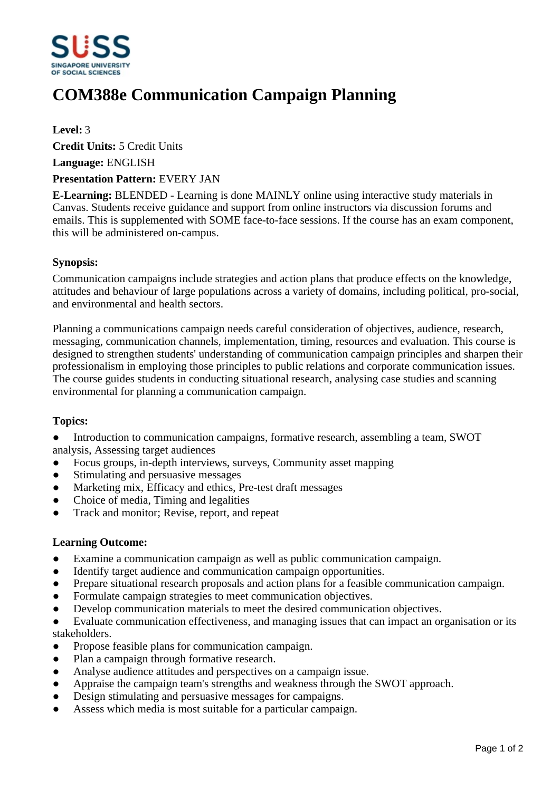

# **COM388e Communication Campaign Planning**

**Level:** 3

**Credit Units:** 5 Credit Units

**Language:** ENGLISH

### **Presentation Pattern:** EVERY JAN

**E-Learning:** BLENDED - Learning is done MAINLY online using interactive study materials in Canvas. Students receive guidance and support from online instructors via discussion forums and emails. This is supplemented with SOME face-to-face sessions. If the course has an exam component, this will be administered on-campus.

## **Synopsis:**

Communication campaigns include strategies and action plans that produce effects on the knowledge, attitudes and behaviour of large populations across a variety of domains, including political, pro-social, and environmental and health sectors.

Planning a communications campaign needs careful consideration of objectives, audience, research, messaging, communication channels, implementation, timing, resources and evaluation. This course is designed to strengthen students' understanding of communication campaign principles and sharpen their professionalism in employing those principles to public relations and corporate communication issues. The course guides students in conducting situational research, analysing case studies and scanning environmental for planning a communication campaign.

# **Topics:**

• Introduction to communication campaigns, formative research, assembling a team, SWOT analysis, Assessing target audiences

- Focus groups, in-depth interviews, surveys, Community asset mapping
- Stimulating and persuasive messages
- Marketing mix, Efficacy and ethics, Pre-test draft messages
- ƔChoice of media, Timing and legalities
- Track and monitor; Revise, report, and repeat

#### **Learning Outcome:**

- ƔExamine a communication campaign as well as public communication campaign.
- Identify target audience and communication campaign opportunities.
- Prepare situational research proposals and action plans for a feasible communication campaign.
- Formulate campaign strategies to meet communication objectives.
- Develop communication materials to meet the desired communication objectives.
- Evaluate communication effectiveness, and managing issues that can impact an organisation or its stakeholders.
- Propose feasible plans for communication campaign.
- Plan a campaign through formative research.
- Analyse audience attitudes and perspectives on a campaign issue.
- Appraise the campaign team's strengths and weakness through the SWOT approach.
- Design stimulating and persuasive messages for campaigns.
- Assess which media is most suitable for a particular campaign.